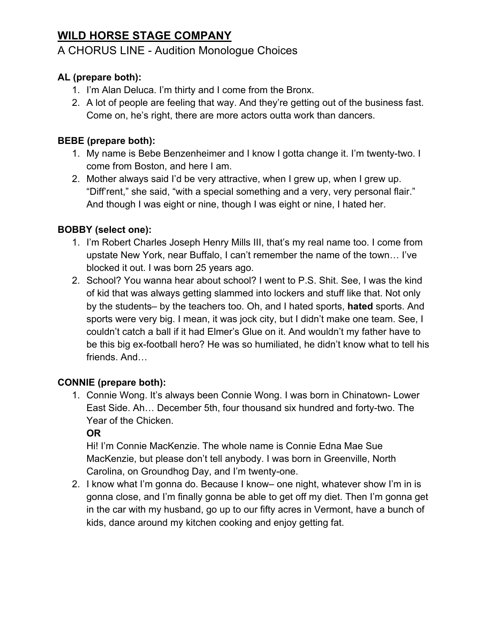# **WILD HORSE STAGE COMPANY**

# A CHORUS LINE - Audition Monologue Choices

# **AL (prepare both):**

- 1. I'm Alan Deluca. I'm thirty and I come from the Bronx.
- 2. A lot of people are feeling that way. And they're getting out of the business fast. Come on, he's right, there are more actors outta work than dancers.

# **BEBE (prepare both):**

- 1. My name is Bebe Benzenheimer and I know I gotta change it. I'm twenty-two. I come from Boston, and here I am.
- 2. Mother always said I'd be very attractive, when I grew up, when I grew up. "Diff'rent," she said, "with a special something and a very, very personal flair." And though I was eight or nine, though I was eight or nine, I hated her.

# **BOBBY (select one):**

- 1. I'm Robert Charles Joseph Henry Mills III, that's my real name too. I come from upstate New York, near Buffalo, I can't remember the name of the town… I've blocked it out. I was born 25 years ago.
- 2. School? You wanna hear about school? I went to P.S. Shit. See, I was the kind of kid that was always getting slammed into lockers and stuff like that. Not only by the students– by the teachers too. Oh, and I hated sports, **hated** sports. And sports were very big. I mean, it was jock city, but I didn't make one team. See, I couldn't catch a ball if it had Elmer's Glue on it. And wouldn't my father have to be this big ex-football hero? He was so humiliated, he didn't know what to tell his friends. And…

# **CONNIE (prepare both):**

1. Connie Wong. It's always been Connie Wong. I was born in Chinatown- Lower East Side. Ah… December 5th, four thousand six hundred and forty-two. The Year of the Chicken.

# **OR**

Hi! I'm Connie MacKenzie. The whole name is Connie Edna Mae Sue MacKenzie, but please don't tell anybody. I was born in Greenville, North Carolina, on Groundhog Day, and I'm twenty-one.

2. I know what I'm gonna do. Because I know– one night, whatever show I'm in is gonna close, and I'm finally gonna be able to get off my diet. Then I'm gonna get in the car with my husband, go up to our fifty acres in Vermont, have a bunch of kids, dance around my kitchen cooking and enjoy getting fat.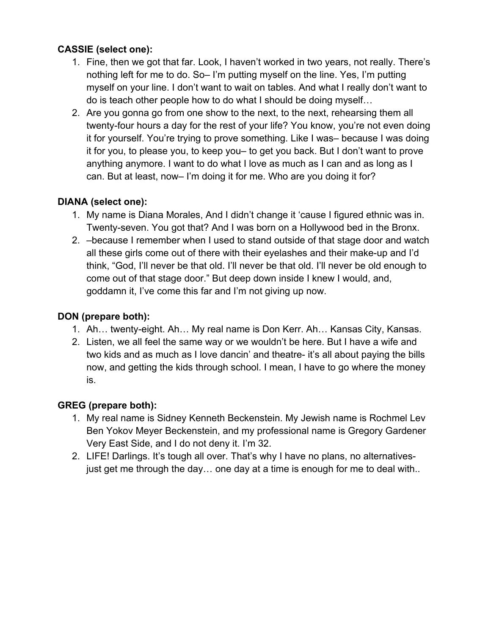# **CASSIE (select one):**

- 1. Fine, then we got that far. Look, I haven't worked in two years, not really. There's nothing left for me to do. So– I'm putting myself on the line. Yes, I'm putting myself on your line. I don't want to wait on tables. And what I really don't want to do is teach other people how to do what I should be doing myself…
- 2. Are you gonna go from one show to the next, to the next, rehearsing them all twenty-four hours a day for the rest of your life? You know, you're not even doing it for yourself. You're trying to prove something. Like I was– because I was doing it for you, to please you, to keep you– to get you back. But I don't want to prove anything anymore. I want to do what I love as much as I can and as long as I can. But at least, now– I'm doing it for me. Who are you doing it for?

# **DIANA (select one):**

- 1. My name is Diana Morales, And I didn't change it 'cause I figured ethnic was in. Twenty-seven. You got that? And I was born on a Hollywood bed in the Bronx.
- 2. –because I remember when I used to stand outside of that stage door and watch all these girls come out of there with their eyelashes and their make-up and I'd think, "God, I'll never be that old. I'll never be that old. I'll never be old enough to come out of that stage door." But deep down inside I knew I would, and, goddamn it, I've come this far and I'm not giving up now.

#### **DON (prepare both):**

- 1. Ah… twenty-eight. Ah… My real name is Don Kerr. Ah… Kansas City, Kansas.
- 2. Listen, we all feel the same way or we wouldn't be here. But I have a wife and two kids and as much as I love dancin' and theatre- it's all about paying the bills now, and getting the kids through school. I mean, I have to go where the money is.

# **GREG (prepare both):**

- 1. My real name is Sidney Kenneth Beckenstein. My Jewish name is Rochmel Lev Ben Yokov Meyer Beckenstein, and my professional name is Gregory Gardener Very East Side, and I do not deny it. I'm 32.
- 2. LIFE! Darlings. It's tough all over. That's why I have no plans, no alternativesjust get me through the day… one day at a time is enough for me to deal with..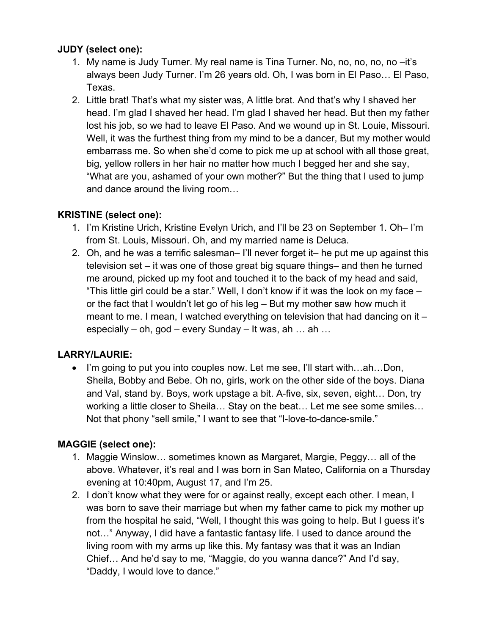#### **JUDY (select one):**

- 1. My name is Judy Turner. My real name is Tina Turner. No, no, no, no, no –it's always been Judy Turner. I'm 26 years old. Oh, I was born in El Paso… El Paso, Texas.
- 2. Little brat! That's what my sister was, A little brat. And that's why I shaved her head. I'm glad I shaved her head. I'm glad I shaved her head. But then my father lost his job, so we had to leave El Paso. And we wound up in St. Louie, Missouri. Well, it was the furthest thing from my mind to be a dancer, But my mother would embarrass me. So when she'd come to pick me up at school with all those great, big, yellow rollers in her hair no matter how much I begged her and she say, "What are you, ashamed of your own mother?" But the thing that I used to jump and dance around the living room…

#### **KRISTINE (select one):**

- 1. I'm Kristine Urich, Kristine Evelyn Urich, and I'll be 23 on September 1. Oh– I'm from St. Louis, Missouri. Oh, and my married name is Deluca.
- 2. Oh, and he was a terrific salesman– I'll never forget it– he put me up against this television set – it was one of those great big square things– and then he turned me around, picked up my foot and touched it to the back of my head and said, "This little girl could be a star." Well, I don't know if it was the look on my face – or the fact that I wouldn't let go of his leg – But my mother saw how much it meant to me. I mean, I watched everything on television that had dancing on it – especially – oh, god – every Sunday – It was, ah … ah …

# **LARRY/LAURIE:**

• I'm going to put you into couples now. Let me see, I'll start with...ah...Don, Sheila, Bobby and Bebe. Oh no, girls, work on the other side of the boys. Diana and Val, stand by. Boys, work upstage a bit. A-five, six, seven, eight… Don, try working a little closer to Sheila… Stay on the beat… Let me see some smiles… Not that phony "sell smile," I want to see that "I-love-to-dance-smile."

# **MAGGIE (select one):**

- 1. Maggie Winslow… sometimes known as Margaret, Margie, Peggy… all of the above. Whatever, it's real and I was born in San Mateo, California on a Thursday evening at 10:40pm, August 17, and I'm 25.
- 2. I don't know what they were for or against really, except each other. I mean, I was born to save their marriage but when my father came to pick my mother up from the hospital he said, "Well, I thought this was going to help. But I guess it's not…" Anyway, I did have a fantastic fantasy life. I used to dance around the living room with my arms up like this. My fantasy was that it was an Indian Chief… And he'd say to me, "Maggie, do you wanna dance?" And I'd say, "Daddy, I would love to dance."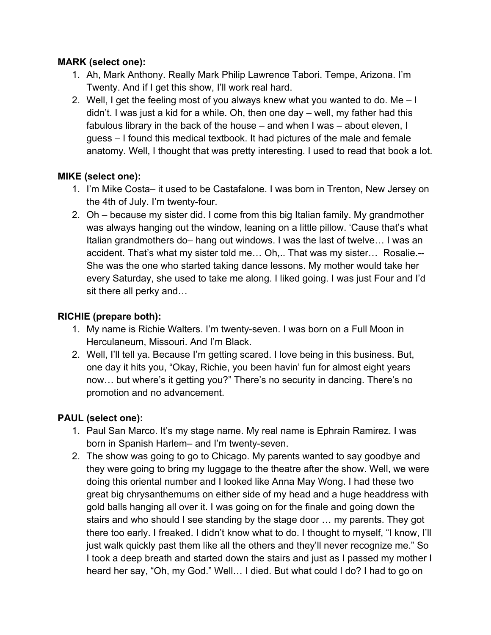#### **MARK (select one):**

- 1. Ah, Mark Anthony. Really Mark Philip Lawrence Tabori. Tempe, Arizona. I'm Twenty. And if I get this show, I'll work real hard.
- 2. Well, I get the feeling most of you always knew what you wanted to do. Me I didn't. I was just a kid for a while. Oh, then one day – well, my father had this fabulous library in the back of the house – and when I was – about eleven, I guess – I found this medical textbook. It had pictures of the male and female anatomy. Well, I thought that was pretty interesting. I used to read that book a lot.

#### **MIKE (select one):**

- 1. I'm Mike Costa– it used to be Castafalone. I was born in Trenton, New Jersey on the 4th of July. I'm twenty-four.
- 2. Oh because my sister did. I come from this big Italian family. My grandmother was always hanging out the window, leaning on a little pillow. 'Cause that's what Italian grandmothers do– hang out windows. I was the last of twelve… I was an accident. That's what my sister told me… Oh,.. That was my sister… Rosalie.-- She was the one who started taking dance lessons. My mother would take her every Saturday, she used to take me along. I liked going. I was just Four and I'd sit there all perky and…

# **RICHIE (prepare both):**

- 1. My name is Richie Walters. I'm twenty-seven. I was born on a Full Moon in Herculaneum, Missouri. And I'm Black.
- 2. Well, I'll tell ya. Because I'm getting scared. I love being in this business. But, one day it hits you, "Okay, Richie, you been havin' fun for almost eight years now… but where's it getting you?" There's no security in dancing. There's no promotion and no advancement.

# **PAUL (select one):**

- 1. Paul San Marco. It's my stage name. My real name is Ephrain Ramirez. I was born in Spanish Harlem– and I'm twenty-seven.
- 2. The show was going to go to Chicago. My parents wanted to say goodbye and they were going to bring my luggage to the theatre after the show. Well, we were doing this oriental number and I looked like Anna May Wong. I had these two great big chrysanthemums on either side of my head and a huge headdress with gold balls hanging all over it. I was going on for the finale and going down the stairs and who should I see standing by the stage door … my parents. They got there too early. I freaked. I didn't know what to do. I thought to myself, "I know, I'll just walk quickly past them like all the others and they'll never recognize me." So I took a deep breath and started down the stairs and just as I passed my mother I heard her say, "Oh, my God." Well… I died. But what could I do? I had to go on